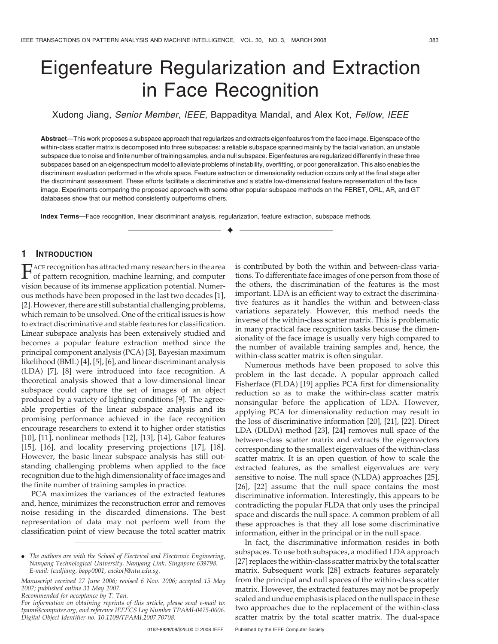# Eigenfeature Regularization and Extraction in Face Recognition

Xudong Jiang, Senior Member, IEEE, Bappaditya Mandal, and Alex Kot, Fellow, IEEE

Abstract—This work proposes a subspace approach that regularizes and extracts eigenfeatures from the face image. Eigenspace of the within-class scatter matrix is decomposed into three subspaces: a reliable subspace spanned mainly by the facial variation, an unstable subspace due to noise and finite number of training samples, and a null subspace. Eigenfeatures are regularized differently in these three subspaces based on an eigenspectrum model to alleviate problems of instability, overfitting, or poor generalization. This also enables the discriminant evaluation performed in the whole space. Feature extraction or dimensionality reduction occurs only at the final stage after the discriminant assessment. These efforts facilitate a discriminative and a stable low-dimensional feature representation of the face image. Experiments comparing the proposed approach with some other popular subspace methods on the FERET, ORL, AR, and GT databases show that our method consistently outperforms others.

 $\ddotmark$ 

Index Terms—Face recognition, linear discriminant analysis, regularization, feature extraction, subspace methods.

# 1 INTRODUCTION

FACE recognition has attracted many researchers in the area<br>of pattern recognition, machine learning, and computer vision because of its immense application potential. Numerous methods have been proposed in the last two decades [1], [2]. However, there are still substantial challenging problems, which remain to be unsolved. One of the critical issues is how to extract discriminative and stable features for classification. Linear subspace analysis has been extensively studied and becomes a popular feature extraction method since the principal component analysis (PCA) [3], Bayesian maximum likelihood (BML) [4], [5], [6], and linear discriminant analysis (LDA) [7], [8] were introduced into face recognition. A theoretical analysis showed that a low-dimensional linear subspace could capture the set of images of an object produced by a variety of lighting conditions [9]. The agreeable properties of the linear subspace analysis and its promising performance achieved in the face recognition encourage researchers to extend it to higher order statistics [10], [11], nonlinear methods [12], [13], [14], Gabor features [15], [16], and locality preserving projections [17], [18]. However, the basic linear subspace analysis has still outstanding challenging problems when applied to the face recognition due to the high dimensionality of face images and the finite number of training samples in practice.

PCA maximizes the variances of the extracted features and, hence, minimizes the reconstruction error and removes noise residing in the discarded dimensions. The best representation of data may not perform well from the classification point of view because the total scatter matrix is contributed by both the within and between-class variations. To differentiate face images of one person from those of the others, the discrimination of the features is the most important. LDA is an efficient way to extract the discriminative features as it handles the within and between-class variations separately. However, this method needs the inverse of the within-class scatter matrix. This is problematic in many practical face recognition tasks because the dimensionality of the face image is usually very high compared to the number of available training samples and, hence, the within-class scatter matrix is often singular.

Numerous methods have been proposed to solve this problem in the last decade. A popular approach called Fisherface (FLDA) [19] applies PCA first for dimensionality reduction so as to make the within-class scatter matrix nonsingular before the application of LDA. However, applying PCA for dimensionality reduction may result in the loss of discriminative information [20], [21], [22]. Direct LDA (DLDA) method [23], [24] removes null space of the between-class scatter matrix and extracts the eigenvectors corresponding to the smallest eigenvalues of the within-class scatter matrix. It is an open question of how to scale the extracted features, as the smallest eigenvalues are very sensitive to noise. The null space (NLDA) approaches [25], [26], [22] assume that the null space contains the most discriminative information. Interestingly, this appears to be contradicting the popular FLDA that only uses the principal space and discards the null space. A common problem of all these approaches is that they all lose some discriminative information, either in the principal or in the null space.

In fact, the discriminative information resides in both subspaces. To use both subspaces, a modified LDA approach [27] replaces the within-class scatter matrix by the total scatter matrix. Subsequent work [28] extracts features separately from the principal and null spaces of the within-class scatter matrix. However, the extracted features may not be properly scaled and undue emphasis is placed on the null space in these two approaches due to the replacement of the within-class scatter matrix by the total scatter matrix. The dual-space

<sup>.</sup> The authors are with the School of Electrical and Electronic Engineering, Nanyang Technological University, Nanyang Link, Singapore 639798. E-mail: {exdjiang, bapp0001, eackot}@ntu.edu.sg.

Manuscript received 27 June 2006; revised 6 Nov. 2006; accepted 15 May 2007; published online 31 May 2007.

Recommended for acceptance by T. Tan.

For information on obtaining reprints of this article, please send e-mail to: tpami@computer.org, and reference IEEECS Log Number TPAMI-0475-0606. Digital Object Identifier no. 10.1109/TPAMI.2007.70708.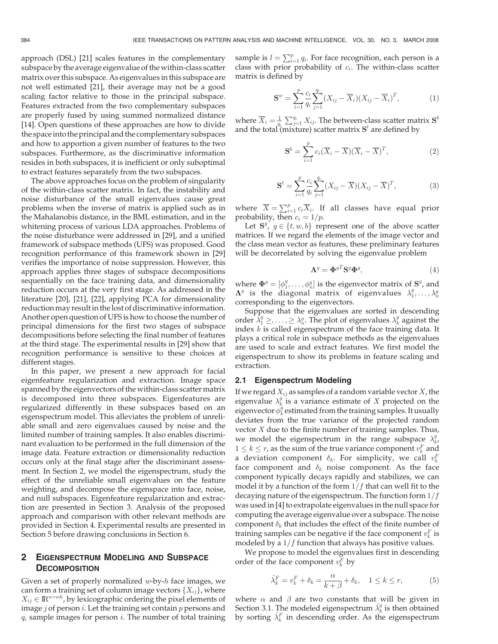approach (DSL) [21] scales features in the complementary subspace by the average eigenvalue of the within-class scatter matrix over this subspace. As eigenvalues in this subspace are not well estimated [21], their average may not be a good scaling factor relative to those in the principal subspace. Features extracted from the two complementary subspaces are properly fused by using summed normalized distance [14]. Open questions of these approaches are how to divide the spaceinto the principal and the complementary subspaces and how to apportion a given number of features to the two subspaces. Furthermore, as the discriminative information resides in both subspaces, it is inefficient or only suboptimal to extract features separately from the two subspaces.

The above approaches focus on the problem of singularity of the within-class scatter matrix. In fact, the instability and noise disturbance of the small eigenvalues cause great problems when the inverse of matrix is applied such as in the Mahalanobis distance, in the BML estimation, and in the whitening process of various LDA approaches. Problems of the noise disturbance were addressed in [29], and a unified framework of subspace methods (UFS) was proposed. Good recognition performance of this framework shown in [29] verifies the importance of noise suppression. However, this approach applies three stages of subspace decompositions sequentially on the face training data, and dimensionality reduction occurs at the very first stage. As addressed in the literature [20], [21], [22], applying PCA for dimensionality reduction may result in thelost of discriminative information. Another open question of UFS is how to choose the number of principal dimensions for the first two stages of subspace decompositions before selecting the final number of features at the third stage. The experimental results in [29] show that recognition performance is sensitive to these choices at different stages.

In this paper, we present a new approach for facial eigenfeature regularization and extraction. Image space spanned by the eigenvectors of the within-class scatter matrix is decomposed into three subspaces. Eigenfeatures are regularized differently in these subspaces based on an eigenspectrum model. This alleviates the problem of unreliable small and zero eigenvalues caused by noise and the limited number of training samples. It also enables discriminant evaluation to be performed in the full dimension of the image data. Feature extraction or dimensionality reduction occurs only at the final stage after the discriminant assessment. In Section 2, we model the eigenspectrum, study the effect of the unreliable small eigenvalues on the feature weighting, and decompose the eigenspace into face, noise, and null subspaces. Eigenfeature regularization and extraction are presented in Section 3. Analysis of the proposed approach and comparison with other relevant methods are provided in Section 4. Experimental results are presented in Section 5 before drawing conclusions in Section 6.

## 2 EIGENSPECTRUM MODELING AND SUBSPACE **DECOMPOSITION**

Given a set of properly normalized  $w$ -by- $h$  face images, we can form a training set of column image vectors  $\{X_{ij}\}\$ , where  $X_{ij} \in \mathbb{R}^{n=wh}$ , by lexicographic ordering the pixel elements of image  $j$  of person  $i$ . Let the training set contain  $p$  persons and  $q_i$  sample images for person  $i$ . The number of total training

sample is  $l = \sum_{i=1}^{p} q_i$ . For face recognition, each person is a class with prior probability of c. The within-class scatter class with prior probability of  $c_i$ . The within-class scatter matrix is defined by

$$
\mathbf{S}^w = \sum_{i=1}^p \frac{c_i}{q_i} \sum_{j=1}^{q_i} (X_{ij} - \overline{X}_i)(X_{ij} - \overline{X}_i)^T, \tag{1}
$$

where  $\overline{X}_i = \frac{1}{q_i} \sum_{j=1}^{q_i} X_{ij}$ . The between-class scatter matrix  $S^b$ <br>and the total (mixture) scatter matrix  $S^t$  are defined by and the total (mixture) scatter matrix  $S<sup>t</sup>$  are defined by

$$
\mathbf{S}^{b} = \sum_{i=1}^{p} c_i (\overline{X}_i - \overline{X})(\overline{X}_i - \overline{X})^T, \tag{2}
$$

$$
\mathbf{S}^{t} = \sum_{i=1}^{p} \frac{c_{i}}{q_{i}} \sum_{j=1}^{q_{i}} (X_{ij} - \overline{X})(X_{ij} - \overline{X})^{T},
$$
(3)

where  $\overline{X} = \sum_{i=1}^{p} c_i \overline{X}_i$ . If all classes have equal prior probability, then  $c_i = 1/p$ .

Let  $S^g$ ,  $g \in \{t, w, b\}$  represent one of the above scatter<br>trices If we regard the elements of the image vector and matrices. If we regard the elements of the image vector and the class mean vector as features, these preliminary features will be decorrelated by solving the eigenvalue problem

$$
\mathbf{\Lambda}^g = \mathbf{\Phi}^{gT} \mathbf{S}^g \mathbf{\Phi}^g,\tag{4}
$$

where  $\Phi^g = [\phi_1^g, \dots, \phi_n^g]$  is the eigenvector matrix of  $S^g$ , and  $\Lambda^g$  is the diagonal matrix of eigenvalues  $\lambda^g$  $\Lambda^g$  is the diagonal matrix of eigenvalues  $\lambda^g_1,\ldots,\lambda^g_n$ corresponding to the eigenvectors.

Suppose that the eigenvalues are sorted in descending order  $\lambda_1^g \geq, \ldots, \geq \lambda_n^g$ . The plot of eigenvalues  $\lambda_k^g$  against the index k is called eigenspectrum of the face training data. It index  $k$  is called eigenspectrum of the face training data. It plays a critical role in subspace methods as the eigenvalues are used to scale and extract features. We first model the eigenspectrum to show its problems in feature scaling and extraction.

#### 2.1 Eigenspectrum Modeling

If we regard  $X_{ij}$  as samples of a random variable vector X, the eigenvalue  $\lambda_k^g$  is a variance estimate of X projected on the eigenvector  $\phi_k^g$  estimated from the training samples. It usually deviates from the true variance of the projected random vector  $X$  due to the finite number of training samples. Thus, we model the eigenspectrum in the range subspace  $\lambda_k^g$  $1 \le k \le r$ , as the sum of the true variance component  $v_k^F$  and a deviation component  $\delta_k$ . For simplicity, we call  $v_k^F$ face component and  $\delta_k$  noise component. As the face component typically decays rapidly and stabilizes, we can model it by a function of the form  $1/f$  that can well fit to the decaying nature of the eigenspectrum. The function form  $1/f$ was used in [4] to extrapolate eigenvalues in the null space for computing the average eigenvalue over a subspace. The noise component  $\delta_k$  that includes the effect of the finite number of training samples can be negative if the face component  $v_k^F$  is modeled by a  $1/f$  function that always has positive values.

We propose to model the eigenvalues first in descending order of the face component  $v_k^F$  by

$$
\hat{\lambda}_k^F = v_k^F + \delta_k = \frac{\alpha}{k + \beta} + \delta_k, \quad 1 \le k \le r,
$$
\n(5)

where  $\alpha$  and  $\beta$  are two constants that will be given in Section 3.1. The modeled eigenspectrum  $\hat{\lambda}_k^g$  is then obtained by sorting  $\hat{\lambda}_k^F$  in descending order. As the eigenspectrum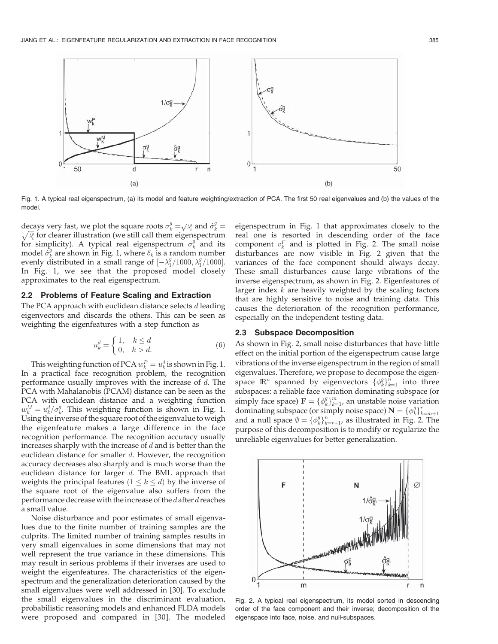

Fig. 1. A typical real eigenspectrum, (a) its model and feature weighting/extraction of PCA. The first 50 real eigenvalues and (b) the values of the model.

decays very fast, we plot the square roots  $\sigma_k^q = \sqrt{\lambda_k^q}$  and  $\hat{\sigma}_k^q$ <br>  $\sqrt{\lambda_k^q}$  for clearer illustration (we still call them eigenspectrum decays very last, we plot the square roots  $\partial_k - \sqrt{\lambda_k}$  and  $\partial_k - \sqrt{\lambda_k}$  for clearer illustration (we still call them eigenspectrum for simplicity). A typical real eigenspectrum  $\sigma_k^g$  and its model  $\hat{\sigma}_{k}^{g}$  are shown in Fig. 1, where  $\delta_{k}$  is a random number evenly distributed in a small range of  $[-\lambda_1^g/1000, \lambda_1^g/1000]$ .<br>In Fig. 1, we see that the proposed model closely In Fig. 1, we see that the proposed model closely approximates to the real eigenspectrum.

## 2.2 Problems of Feature Scaling and Extraction

The PCA approach with euclidean distance selects  $d$  leading eigenvectors and discards the others. This can be seen as weighting the eigenfeatures with a step function as

$$
u_k^d = \begin{cases} 1, & k \le d \\ 0, & k > d. \end{cases}
$$
 (6)

This weighting function of PCA  $w_k^P = u_k^d$  is shown in Fig. 1.<br>a practical face recognition problem, the recognition In a practical face recognition problem, the recognition performance usually improves with the increase of  $d$ . The PCA with Mahalanobis (PCAM) distance can be seen as the PCA with euclidean distance and a weighting function  $w_k^M = u_k^d / \sigma_k^q$ . This weighting function is shown in Fig. 1.<br>Using the inverse of the square root of the eigenvalue to weight Using the inverse of the square root of the eigenvalue to weigh the eigenfeature makes a large difference in the face recognition performance. The recognition accuracy usually increases sharply with the increase of  $d$  and is better than the euclidean distance for smaller d. However, the recognition accuracy decreases also sharply and is much worse than the euclidean distance for larger  $d$ . The BML approach that weights the principal features  $(1 \leq k \leq d)$  by the inverse of the square root of the eigenvalue also suffers from the performance decrease with the increase of the  $d$  after  $d$  reaches a small value.

Noise disturbance and poor estimates of small eigenvalues due to the finite number of training samples are the culprits. The limited number of training samples results in very small eigenvalues in some dimensions that may not well represent the true variance in these dimensions. This may result in serious problems if their inverses are used to weight the eigenfeatures. The characteristics of the eigenspectrum and the generalization deterioration caused by the small eigenvalues were well addressed in [30]. To exclude the small eigenvalues in the discriminant evaluation, probabilistic reasoning models and enhanced FLDA models were proposed and compared in [30]. The modeled

eigenspectrum in Fig. 1 that approximates closely to the real one is resorted in descending order of the face component  $v_k^F$  and is plotted in Fig. 2. The small noise disturbances are now visible in Fig. 2 given that the variances of the face component should always decay. These small disturbances cause large vibrations of the inverse eigenspectrum, as shown in Fig. 2. Eigenfeatures of larger index  $k$  are heavily weighted by the scaling factors that are highly sensitive to noise and training data. This causes the deterioration of the recognition performance, especially on the independent testing data.

## 2.3 Subspace Decomposition

As shown in Fig. 2, small noise disturbances that have little effect on the initial portion of the eigenspectrum cause large vibrations of the inverse eigenspectrum in the region of small eigenvalues. Therefore, we propose to decompose the eigenspace  $\mathbb{R}^n$  spanned by eigenvectors  $\{\phi_k^q\}_{k=1}^n$  into three<br>subspaces a reliable face variation dominating subspace (or subspaces: a reliable face variation dominating subspace (or simply face space)  $\mathbf{F} = \{\phi_k^g\}_{k=1}^m$ , an unstable noise variation<br>dominating subspace (or simply noise space)  $\mathbf{N} = \int \phi_k^g \mathbf{l}^r$ dominating subspace (or simply noise space)  $N = {\phi_k^g}_{k}^{r_{k}}$ <br>and a null space  $\phi = L\phi_{k}^{g}$  as illustrated in Fig. 2  $k=m+1$ and a null space  $\emptyset = {\{\phi_{k}^{q}\}}_{k=r+1}^{n}$ , as illustrated in Fig. 2. The nurnose of this decomposition is to modify or reqularize the purpose of this decomposition is to modify or regularize the unreliable eigenvalues for better generalization.



Fig. 2. A typical real eigenspectrum, its model sorted in descending order of the face component and their inverse; decomposition of the eigenspace into face, noise, and null-subspaces.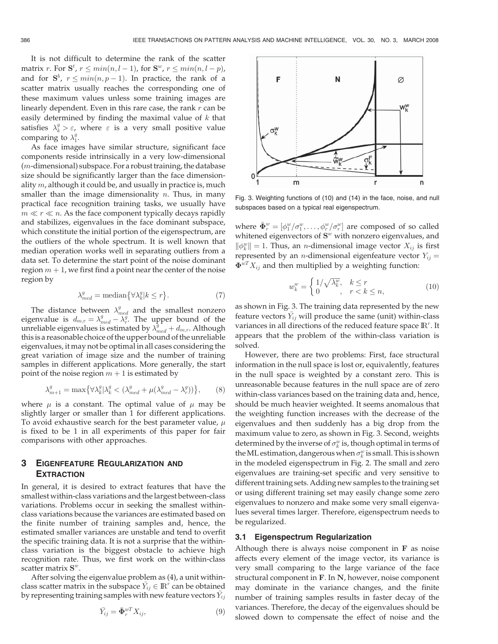It is not difficult to determine the rank of the scatter matrix r. For  $S^t$ ,  $r \leq min(n, l-1)$ , for  $S^w$ ,  $r \leq min(n, l-p)$ ,<br>and for  $S^b$ ,  $r \leq min(n, n-1)$ . In practice, the rank of a and for  $S^b$ ,  $r \leq min(n, p - 1)$ . In practice, the rank of a section matrix usually reaches the corresponding one of scatter matrix usually reaches the corresponding one of these maximum values unless some training images are linearly dependent. Even in this rare case, the rank  $r$  can be easily determined by finding the maximal value of  $k$  that satisfies  $\lambda_k^g > \varepsilon$ , where  $\varepsilon$  is a very small positive value comparing to  $\lambda_1^g$ .

As face images have similar structure, significant face components reside intrinsically in a very low-dimensional  $(m$ -dimensional) subspace. For a robust training, the database size should be significantly larger than the face dimensionality  $m$ , although it could be, and usually in practice is, much smaller than the image dimensionality  $n$ . Thus, in many practical face recognition training tasks, we usually have  $m \ll r \ll n$ . As the face component typically decays rapidly and stabilizes, eigenvalues in the face dominant subspace, which constitute the initial portion of the eigenspectrum, are the outliers of the whole spectrum. It is well known that median operation works well in separating outliers from a data set. To determine the start point of the noise dominant region  $m + 1$ , we first find a point near the center of the noise region by

$$
\lambda_{med}^g = \text{median}\big\{\forall \lambda_k^g | k \le r\big\}.
$$
 (7)

The distance between  $\lambda_{med}^g$  and the smallest nonzero eigenvalue is  $d_{m,r} = \lambda_{med}^g - \lambda_r^g$ . The upper bound of the unreliable eigenvalues is estimated by  $\lambda^g + d$  Although eigenvalue is  $u_{m,r} - \lambda_{med} = \lambda_r^2$ . The upper bound of the<br>unreliable eigenvalues is estimated by  $\lambda_{med}^g + d_{m,r}$ . Although<br>this is a reasonable choice of the unper bound of the unreliable thisis a reasonable choice of the upper bound of the unreliable eigenvalues, it may not be optimal in all cases considering the great variation of image size and the number of training samples in different applications. More generally, the start point of the noise region  $m + 1$  is estimated by

$$
\lambda_{m+1}^g = \max\left\{\forall \lambda_k^g | \lambda_k^g < (\lambda_{med}^g + \mu(\lambda_{med}^g - \lambda_r^g))\right\},\tag{8}
$$

where  $\mu$  is a constant. The optimal value of  $\mu$  may be slightly larger or smaller than 1 for different applications. To avoid exhaustive search for the best parameter value,  $\mu$ is fixed to be 1 in all experiments of this paper for fair comparisons with other approaches.

# 3 EIGENFEATURE REGULARIZATION AND **EXTRACTION**

In general, it is desired to extract features that have the smallest within-class variations and the largest between-class variations. Problems occur in seeking the smallest withinclass variations because the variances are estimated based on the finite number of training samples and, hence, the estimated smaller variances are unstable and tend to overfit the specific training data. It is not a surprise that the withinclass variation is the biggest obstacle to achieve high recognition rate. Thus, we first work on the within-class scatter matrix  $S^w$ .

After solving the eigenvalue problem as (4), a unit within-For secretary the subspace  $\overline{Y}_{ij} \in \mathbb{R}^r$  can be obtained<br>class scatter matrix in the subspace  $\overline{Y}_{ij} \in \mathbb{R}^r$  can be obtained by representing training samples with new feature vectors  $\bar{Y}_{ij}$ 

$$
\bar{Y}_{ij} = \bar{\mathbf{\Phi}}_r^{wT} X_{ij},\tag{9}
$$



Fig. 3. Weighting functions of (10) and (14) in the face, noise, and null subspaces based on a typical real eigenspectrum.

where  $\bar{\Phi}^w_r = [\phi^w_1/\sigma^w_1, \dots, \phi^w_r/\sigma^w_r]$  are composed of so called whittened given vectors of  $S^w$  with poppers given values and whitened eigenvectors of  $S^w$  with nonzero eigenvalues, and  $\|\phi_k^w\| = 1$ . Thus, an *n*-dimensional image vector  $X_{ij}$  is first represented by an *n*-dimensional ejecution vector  $X_{ij}$ represented by an *n*-dimensional eigenfeature vector  $Y_{ij} =$  $\mathbf{\Phi}^{wT} X_{ij}$  and then multiplied by a weighting function:

$$
w_k^w = \begin{cases} 1/\sqrt{\lambda_k^w}, & k \le r \\ 0, & r < k \le n, \end{cases}
$$
 (10)

as shown in Fig. 3. The training data represented by the new feature vectors  $\overline{Y}_{ij}$  will produce the same (unit) within-class variances in all directions of the reduced feature space  $\mathbb{R}^r$ . It appears that the problem of the within-class variation is solved.

However, there are two problems: First, face structural information in the null space is lost or, equivalently, features in the null space is weighted by a constant zero. This is unreasonable because features in the null space are of zero within-class variances based on the training data and, hence, should be much heavier weighted. It seems anomalous that the weighting function increases with the decrease of the eigenvalues and then suddenly has a big drop from the maximum value to zero, as shown in Fig. 3. Second, weights determined by the inverse of  $\sigma_k^w$  is, though optimal in terms of the ML estimation, dangerous when  $\sigma_k^w$  is small. This is shown in the modeled eigenspectrum in Fig. 2. The small and zero eigenvalues are training-set specific and very sensitive to different training sets. Adding new samples to the training set or using different training set may easily change some zero eigenvalues to nonzero and make some very small eigenvalues several times larger. Therefore, eigenspectrum needs to be regularized.

#### 3.1 Eigenspectrum Regularization

Although there is always noise component in  $F$  as noise affects every element of the image vector, its variance is very small comparing to the large variance of the face structural component in F. In N, however, noise component may dominate in the variance changes, and the finite number of training samples results in faster decay of the variances. Therefore, the decay of the eigenvalues should be slowed down to compensate the effect of noise and the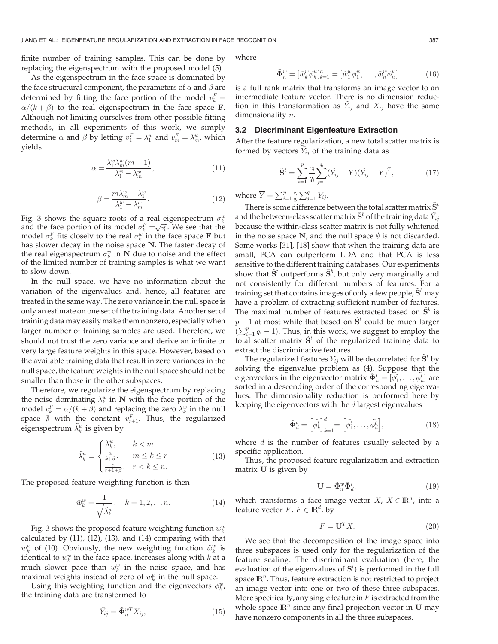finite number of training samples. This can be done by replacing the eigenspectrum with the proposed model (5).

As the eigenspectrum in the face space is dominated by the face structural component, the parameters of  $\alpha$  and  $\beta$  are determined by fitting the face portion of the model  $v_k^F =$  $\alpha/(k+\beta)$  to the real eigenspectrum in the face space F.<br>Although not limiting ourselves from other possible fitting Although not limiting ourselves from other possible fitting methods, in all experiments of this work, we simply determine  $\alpha$  and  $\beta$  by letting  $v_1^F = \lambda_1^w$  and  $v_m^F = \lambda_m^w$ , which yields

$$
\alpha = \frac{\lambda_1^w \lambda_m^w (m-1)}{\lambda_1^w - \lambda_m^w},\tag{11}
$$

$$
\beta = \frac{m\lambda_m^w - \lambda_1^w}{\lambda_1^w - \lambda_m^w}.
$$
\n(12)

Fig. 3 shows the square roots of a real eigenspectrum  $\sigma_k^w$ and the face portion of its model  $\sigma_k^F = \sqrt{v_k^F}$ . We see that the model  $\sigma_k^F$  fits closely to the real  $\sigma_w^w$  in the face space **F** but model  $\sigma_k^F$  fits closely to the real  $\sigma_k^w$  in the face space **F** but has slower decay in the noise space N. The faster decay of the real eigenspectrum  $\sigma_k^w$  in  $\tilde{N}$  due to noise and the effect of the limited number of training samples is what we want to slow down.

In the null space, we have no information about the variation of the eigenvalues and, hence, all features are treated in the same way. The zero variance in the null space is only an estimate on one set of the training data. Another set of training data may easily make them nonzero, especially when larger number of training samples are used. Therefore, we should not trust the zero variance and derive an infinite or very large feature weights in this space. However, based on the available training data that result in zero variances in the null space, the feature weights in the null space should not be smaller than those in the other subspaces.

Therefore, we regularize the eigenspectrum by replacing the noise dominating  $\lambda_k^w$  in N with the face portion of the model  $v_k^F = \alpha/(k + \beta)$  and replacing the zero  $\lambda_k^w$  in the null<br>space  $\emptyset$  with the constant  $v_k^F$ . Thus, the reqularized space  $\emptyset$  with the constant  $v_{r+1}^F$ . Thus, the regularized eigenspectrum  $\tilde{\lambda}^w$  is given by eigenspectrum  $\tilde{\lambda}_k^w$  is given by

$$
\tilde{\lambda}_k^w = \begin{cases}\n\frac{\lambda_k^w}{k + \beta}, & k < m \\
\frac{\alpha}{k + \beta}, & m \le k \le r \\
\frac{\alpha}{r + 1 + \beta}, & r < k \le n.\n\end{cases}
$$
\n(13)

The proposed feature weighting function is then

$$
\tilde{w}_k^w = \frac{1}{\sqrt{\tilde{\lambda}_k^w}}, \quad k = 1, 2, \dots n. \tag{14}
$$

Fig. 3 shows the proposed feature weighting function  $\tilde{w}^w_k$ calculated by  $(11)$ ,  $(12)$ ,  $(13)$ , and  $(14)$  comparing with that  $w_k^w$  of (10). Obviously, the new weighting function  $\tilde{w}_k^w$  is identical to  $w_k^w$  in the face space, increases along with  $k$  at a much slower pace than  $w_k^w$  in the noise space, and has maximal weights instead of zero of  $w_k^w$  in the null space.

Using this weighting function and the eigenvectors  $\phi_k^w$ , the training data are transformed to

$$
\tilde{Y}_{ij} = \tilde{\mathbf{\Phi}}_n^{wT} X_{ij},\tag{15}
$$

where

$$
\tilde{\mathbf{\Phi}}_n^w = [\tilde{w}_k^w \phi_k^w]_{k=1}^n = [\tilde{w}_1^w \phi_1^w, \dots, \tilde{w}_n^w \phi_n^w]
$$
\n(16)

is a full rank matrix that transforms an image vector to an intermediate feature vector. There is no dimension reduction in this transformation as  $\tilde{Y}_{ij}$  and  $X_{ij}$  have the same dimensionality  $n$ .

#### 3.2 Discriminant Eigenfeature Extraction

After the feature regularization, a new total scatter matrix is formed by vectors  $\tilde{Y}_{ij}$  of the training data as

$$
\tilde{\mathbf{S}}^t = \sum_{i=1}^p \frac{c_i}{q_i} \sum_{j=1}^{q_i} (\tilde{Y}_{ij} - \overline{Y})(\tilde{Y}_{ij} - \overline{Y})^T, \tag{17}
$$

where  $\overline{Y} = \sum_{i=1}^{p} \frac{c_i}{q_i} \sum_{j=1}^{q_i} \tilde{Y}_{ij}$ .

There is some difference between the total scatter matrix  $\mathbf{S}^t$ and the between-class scatter matrix  $\tilde{S}^b$  of the training data  $\tilde{Y}_{ij}$ because the within-class scatter matrix is not fully whitened in the noise space  $N$ , and the null space  $\emptyset$  is not discarded. Some works [31], [18] show that when the training data are small, PCA can outperform LDA and that PCA is less sensitive to the different training databases. Our experiments show that  $\tilde{S}^t$  outperforms  $\tilde{S}^b$ , but only very marginally and not consistently for different numbers of features. For a training set that contains images of only a few people,  $\mathbf{S}^b$  may have a problem of extracting sufficient number of features. The maximal number of features extracted based on  $\tilde{S}^b$  is  $p-1$  at most while that based on  $\tilde{S}^t$  could be much larger<br> $(\sum_{i=1}^{p} a_{i}-1)$ . Thus, in this work, we suggest to employ the  $\sum_{i=1}^{n} n^{i}$  by string in the restription of engles to engles the super  $\sum_{i=1}^{p} q_i - 1$ ). Thus, in this work, we suggest to employ the order regularized training data to extract the discriminative features.

The regularized features  $\tilde{Y}_{ij}$  will be decorrelated for  $\tilde{S}^t$  by solving the eigenvalue problem as (4). Suppose that the eigenvectors in the eigenvector matrix  $\tilde{\Phi}_n^t = [\phi_1^t, \dots, \phi_n^t]$  are<br>sorted in a descending order of the corresponding eigenvasorted in a descending order of the corresponding eigenvalues. The dimensionality reduction is performed here by keeping the eigenvectors with the  $d$  largest eigenvalues

$$
\tilde{\mathbf{\Phi}}_d^t = \left[\tilde{\phi}_k^t\right]_{k=1}^d = \left[\tilde{\phi}_1^t, \dots, \tilde{\phi}_d^t\right],\tag{18}
$$

where  $d$  is the number of features usually selected by a specific application.

Thus, the proposed feature regularization and extraction matrix U is given by

$$
\mathbf{U} = \tilde{\mathbf{\Phi}}_n^w \tilde{\mathbf{\Phi}}_d^t,\tag{19}
$$

which transforms a face image vector  $X$ ,  $X \in \mathbb{R}^n$ , into a feature vector  $F$ ,  $F \in \mathbb{R}^d$ , by

$$
F = \mathbf{U}^T X. \tag{20}
$$

We see that the decomposition of the image space into three subspaces is used only for the regularization of the feature scaling. The discriminant evaluation (here, the evaluation of the eigenvalues of  $\tilde{S}^t$ ) is performed in the full space  $\mathbb{R}^n$ . Thus, feature extraction is not restricted to project an image vector into one or two of these three subspaces. More specifically, any single feature in  $F$  is extracted from the whole space  $\mathbb{R}^n$  since any final projection vector in U may have nonzero components in all the three subspaces.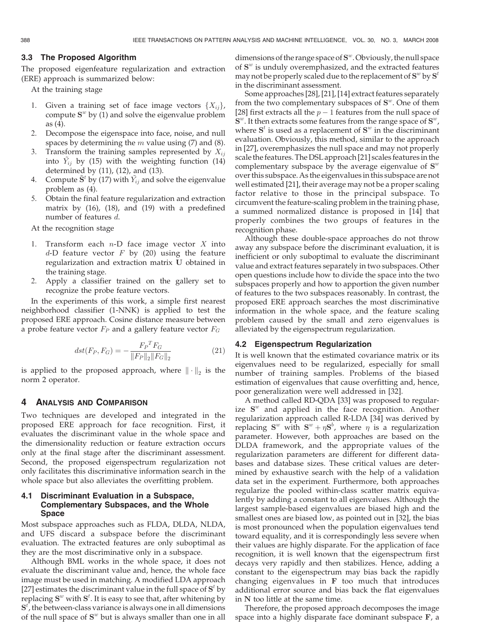## 3.3 The Proposed Algorithm

The proposed eigenfeature regularization and extraction (ERE) approach is summarized below:

At the training stage

- 1. Given a training set of face image vectors  $\{X_{ij}\}\$ , compute  $S^w$  by (1) and solve the eigenvalue problem as (4).
- 2. Decompose the eigenspace into face, noise, and null spaces by determining the  $m$  value using (7) and (8).
- 3. Transform the training samples represented by  $X_{ij}$ into  $\tilde{Y}_{ij}$  by (15) with the weighting function (14) determined by (11), (12), and (13).
- 4. Compute  $\tilde{\mathbf{S}}^t$  by (17) with  $\tilde{Y}_{ij}$  and solve the eigenvalue problem as (4).
- 5. Obtain the final feature regularization and extraction matrix by (16), (18), and (19) with a predefined number of features d.

At the recognition stage

- 1. Transform each  $n-D$  face image vector  $X$  into  $d$ -D feature vector F by (20) using the feature regularization and extraction matrix U obtained in the training stage.
- 2. Apply a classifier trained on the gallery set to recognize the probe feature vectors.

In the experiments of this work, a simple first nearest neighborhood classifier (1-NNK) is applied to test the proposed ERE approach. Cosine distance measure between a probe feature vector  $F_P$  and a gallery feature vector  $F_G$ 

$$
dst(F_P, F_G) = -\frac{F_P^T F_G}{\|F_P\|_2 \|F_G\|_2}
$$
\n(21)

is applied to the proposed approach, where  $\|\cdot\|_2$  is the norm 2 operator.

## 4 ANALYSIS AND COMPARISON

Two techniques are developed and integrated in the proposed ERE approach for face recognition. First, it evaluates the discriminant value in the whole space and the dimensionality reduction or feature extraction occurs only at the final stage after the discriminant assessment. Second, the proposed eigenspectrum regularization not only facilitates this discriminative information search in the whole space but also alleviates the overfitting problem.

## 4.1 Discriminant Evaluation in a Subspace, Complementary Subspaces, and the Whole Space

Most subspace approaches such as FLDA, DLDA, NLDA, and UFS discard a subspace before the discriminant evaluation. The extracted features are only suboptimal as they are the most discriminative only in a subspace.

Although BML works in the whole space, it does not evaluate the discriminant value and, hence, the whole face image must be used in matching. A modified LDA approach [27] estimates the discriminant value in the full space of  $S<sup>t</sup>$  by replacing  $S^w$  with  $S^t$ . It is easy to see that, after whitening by  $S<sup>t</sup>$ , the between-class variance is always one in all dimensions of the null space of  $S<sup>w</sup>$  but is always smaller than one in all

dimensions of the range space of  $S^w$ . Obviously, the null space of  $S^w$  is unduly overemphasized, and the extracted features may not be properly scaled due to the replacement of  $S^w$  by  $S^t$ in the discriminant assessment.

Some approaches [28], [21], [14] extract features separately from the two complementary subspaces of  $S<sup>w</sup>$ . One of them [28] first extracts all the  $p-1$  features from the null space of  $S^w$ .<br> $S^w$  It then extracts some features from the range space of  $S^w$ .  $S^w$ . It then extracts some features from the range space of  $S^w$ , where  $S<sup>t</sup>$  is used as a replacement of  $S<sup>w</sup>$  in the discriminant evaluation. Obviously, this method, similar to the approach in [27], overemphasizes the null space and may not properly scale the features. The DSL approach [21] scales featuresin the complementary subspace by the average eigenvalue of  $S^w$ over this subspace. As the eigenvaluesin this subspace are not well estimated [21], their average may not be a proper scaling factor relative to those in the principal subspace. To circumvent the feature-scaling problem in the training phase, a summed normalized distance is proposed in [14] that properly combines the two groups of features in the recognition phase.

Although these double-space approaches do not throw away any subspace before the discriminant evaluation, it is inefficient or only suboptimal to evaluate the discriminant value and extract features separately in two subspaces. Other open questions include how to divide the space into the two subspaces properly and how to apportion the given number of features to the two subspaces reasonably. In contrast, the proposed ERE approach searches the most discriminative information in the whole space, and the feature scaling problem caused by the small and zero eigenvalues is alleviated by the eigenspectrum regularization.

## 4.2 Eigenspectrum Regularization

It is well known that the estimated covariance matrix or its eigenvalues need to be regularized, especially for small number of training samples. Problems of the biased estimation of eigenvalues that cause overfitting and, hence, poor generalization were well addressed in [32].

A method called RD-QDA [33] was proposed to regularize  $S^w$  and applied in the face recognition. Another regularization approach called R-LDA [34] was derived by replacing  $S^w$  with  $S^w + \eta S^b$ , where  $\eta$  is a regularization<br>parameter. However, both approaches are based on the parameter. However, both approaches are based on the DLDA framework, and the appropriate values of the regularization parameters are different for different databases and database sizes. These critical values are determined by exhaustive search with the help of a validation data set in the experiment. Furthermore, both approaches regularize the pooled within-class scatter matrix equivalently by adding a constant to all eigenvalues. Although the largest sample-based eigenvalues are biased high and the smallest ones are biased low, as pointed out in [32], the bias is most pronounced when the population eigenvalues tend toward equality, and it is correspondingly less severe when their values are highly disparate. For the application of face recognition, it is well known that the eigenspectrum first decays very rapidly and then stabilizes. Hence, adding a constant to the eigenspectrum may bias back the rapidly changing eigenvalues in  $F$  too much that introduces additional error source and bias back the flat eigenvalues in N too little at the same time.

Therefore, the proposed approach decomposes the image space into a highly disparate face dominant subspace F, a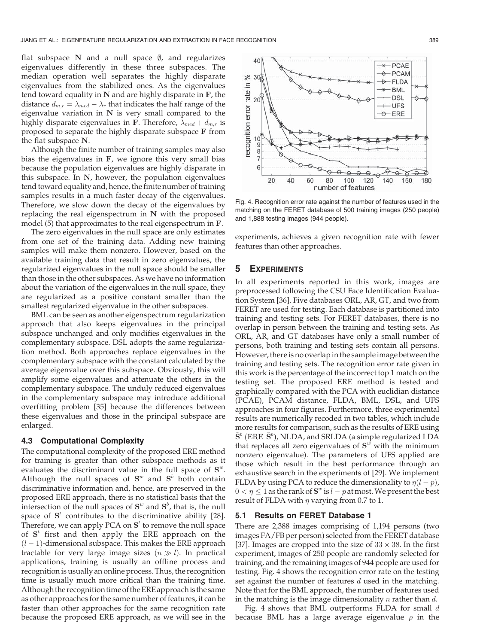flat subspace  $N$  and a null space  $\emptyset$ , and regularizes eigenvalues differently in these three subspaces. The median operation well separates the highly disparate eigenvalues from the stabilized ones. As the eigenvalues tend toward equality in  $N$  and are highly disparate in  $F$ , the distance  $d_{m,r} = \lambda_{med} - \lambda_r$  that indicates the half range of the eigenvalue variation in N is very small compared to the eigenvalue variation in  $N$  is very small compared to the highly disparate eigenvalues in F. Therefore,  $\lambda_{med} + d_{m,r}$  is proposed to separate the highly disparate subspace F from the flat subspace N.

Although the finite number of training samples may also bias the eigenvalues in  $F$ , we ignore this very small bias because the population eigenvalues are highly disparate in this subspace. In N, however, the population eigenvalues tend toward equality and, hence, the finite number of training samples results in a much faster decay of the eigenvalues. Therefore, we slow down the decay of the eigenvalues by replacing the real eigenspectrum in  $N$  with the proposed model (5) that approximates to the real eigenspectrum in F.

The zero eigenvalues in the null space are only estimates from one set of the training data. Adding new training samples will make them nonzero. However, based on the available training data that result in zero eigenvalues, the regularized eigenvalues in the null space should be smaller than those in the other subspaces. As we have no information about the variation of the eigenvalues in the null space, they are regularized as a positive constant smaller than the smallest regularized eigenvalue in the other subspaces.

BML can be seen as another eigenspectrum regularization approach that also keeps eigenvalues in the principal subspace unchanged and only modifies eigenvalues in the complementary subspace. DSL adopts the same regularization method. Both approaches replace eigenvalues in the complementary subspace with the constant calculated by the average eigenvalue over this subspace. Obviously, this will amplify some eigenvalues and attenuate the others in the complementary subspace. The unduly reduced eigenvalues in the complementary subspace may introduce additional overfitting problem [35] because the differences between these eigenvalues and those in the principal subspace are enlarged.

#### 4.3 Computational Complexity

The computational complexity of the proposed ERE method for training is greater than other subspace methods as it evaluates the discriminant value in the full space of  $S^w$ . Although the null spaces of  $S^w$  and  $S^b$  both contain discriminative information and, hence, are preserved in the proposed ERE approach, there is no statistical basis that the intersection of the null spaces of  $S^w$  and  $S^b$ , that is, the null space of  $S<sup>t</sup>$  contributes to the discriminative ability [28]. Therefore, we can apply PCA on  $S<sup>t</sup>$  to remove the null space of  $S<sup>t</sup>$  first and then apply the ERE approach on the  $(l-1)$ -dimensional subspace. This makes the ERE approach<br>tractable for very large image sizes  $(n \gg l)$ . In practical tractable for very large image sizes  $(n \gg l)$ . In practical applications, training is usually an offline process and recognition is usually an online process. Thus, the recognition time is usually much more critical than the training time. Although the recognition time of theERE approachis the same as other approaches for the same number of features, it can be faster than other approaches for the same recognition rate because the proposed ERE approach, as we will see in the



Fig. 4. Recognition error rate against the number of features used in the matching on the FERET database of 500 training images (250 people) and 1,888 testing images (944 people).

experiments, achieves a given recognition rate with fewer features than other approaches.

## 5 EXPERIMENTS

In all experiments reported in this work, images are preprocessed following the CSU Face Identification Evaluation System [36]. Five databases ORL, AR, GT, and two from FERET are used for testing. Each database is partitioned into training and testing sets. For FERET databases, there is no overlap in person between the training and testing sets. As ORL, AR, and GT databases have only a small number of persons, both training and testing sets contain all persons. However, there is no overlap in the sample image between the training and testing sets. The recognition error rate given in this work is the percentage of the incorrect top 1 match on the testing set. The proposed ERE method is tested and graphically compared with the PCA with euclidian distance (PCAE), PCAM distance, FLDA, BML, DSL, and UFS approaches in four figures. Furthermore, three experimental results are numerically recoded in two tables, which include more results for comparison, such as the results of ERE using  $\tilde{S}^b$  (ERE  $\tilde{S}^b$ ), NLDA, and SRLDA (a simple regularized LDA that replaces all zero ejgenvalues of  $S^w$  with the minimum that replaces all zero eigenvalues of  $S<sup>w</sup>$  with the minimum nonzero eigenvalue). The parameters of UFS applied are those which result in the best performance through an exhaustive search in the experiments of [29]. We implement FLDA by using PCA to reduce the dimensionality to  $\eta(l-p)$ ,<br>0 < n < 1 as the rank of  $S^w$  is l = nat most. We present the best  $0 < \eta \leq 1$  as the rank of  $S^w$  is  $l - p$  at most. We present the best<br>result of ELDA with a varying from 0.7 to 1 result of FLDA with  $\eta$  varying from 0.7 to 1.

## 5.1 Results on FERET Database 1

There are 2,388 images comprising of 1,194 persons (two images FA/FB per person) selected from the FERET database [37]. Images are cropped into the size of  $33 \times 38$ . In the first experiment, images of 250 people are randomly selected for training, and the remaining images of 944 people are used for testing. Fig. 4 shows the recognition error rate on the testing set against the number of features d used in the matching. Note that for the BML approach, the number of features used in the matching is the image dimensionality  $n$  rather than  $d$ .

Fig. 4 shows that BML outperforms FLDA for small d because BML has a large average eigenvalue  $\rho$  in the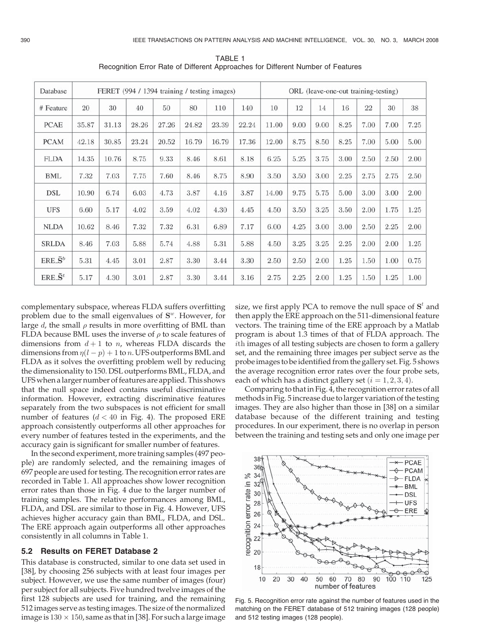| Database                | FERET (994 / 1394 training / testing images) |       |       |       |       |       |       | ORL (leave-one-out training-testing) |      |      |      |        |      |      |
|-------------------------|----------------------------------------------|-------|-------|-------|-------|-------|-------|--------------------------------------|------|------|------|--------|------|------|
| # Feature               | 20                                           | 30    | 40    | 50    | 80    | 110   | 140   | 10                                   | 12   | 14   | 16   | $22\,$ | 30   | 38   |
| <b>PCAE</b>             | 35.87                                        | 31.13 | 28.26 | 27.26 | 24.82 | 23.39 | 22.24 | 11.00                                | 9.00 | 9.00 | 8.25 | 7.00   | 7.00 | 7.25 |
| <b>PCAM</b>             | 42.18                                        | 30.85 | 23.24 | 20.52 | 16.79 | 16.79 | 17.36 | 12.00                                | 8.75 | 8.50 | 8.25 | 7.00   | 5.00 | 5.00 |
| <b>FLDA</b>             | 14.35                                        | 10.76 | 8.75  | 9.33  | 8.46  | 8.61  | 8.18  | 6.25                                 | 5.25 | 3.75 | 3.00 | 2.50   | 2.50 | 2.00 |
| <b>BML</b>              | 7.32                                         | 7.03  | 7.75  | 7.60  | 8.46  | 8.75  | 8.90  | 3.50                                 | 3.50 | 3.00 | 2.25 | 2.75   | 2.75 | 2.50 |
| <b>DSL</b>              | 10.90                                        | 6.74  | 6.03  | 4.73  | 3.87  | 4.16  | 3.87  | 14.00                                | 9.75 | 5.75 | 5.00 | 3.00   | 3.00 | 2.00 |
| <b>UFS</b>              | 6.60                                         | 5.17  | 4.02  | 3.59  | 4.02  | 4.30  | 4.45  | 4.50                                 | 3.50 | 3.25 | 3.50 | 2.00   | 1.75 | 1.25 |
| <b>NLDA</b>             | 10.62                                        | 8.46  | 7.32  | 7.32  | 6.31  | 6.89  | 7.17  | 6.00                                 | 4.25 | 3.00 | 3.00 | 2.50   | 2.25 | 2.00 |
| <b>SRLDA</b>            | 8.46                                         | 7.03  | 5.88  | 5.74  | 4.88  | 5.31  | 5.88  | 4.50                                 | 3.25 | 3.25 | 2.25 | 2.00   | 2.00 | 1.25 |
| $ERE \cdot \tilde{S}^b$ | 5.31                                         | 4.45  | 3.01  | 2.87  | 3.30  | 3.44  | 3.30  | 2.50                                 | 2.50 | 2.00 | 1.25 | 1.50   | 1.00 | 0.75 |
| $ERE \cdot \tilde{S}^t$ | 5.17                                         | 4.30  | 3.01  | 2.87  | 3.30  | 3.44  | 3.16  | 2.75                                 | 2.25 | 2.00 | 1.25 | 1.50   | 1.25 | 1.00 |

TABLE 1 Recognition Error Rate of Different Approaches for Different Number of Features

complementary subspace, whereas FLDA suffers overfitting problem due to the small eigenvalues of  $S<sup>w</sup>$ . However, for large d, the small  $\rho$  results in more overfitting of BML than FLDA because BML uses the inverse of  $\rho$  to scale features of dimensions from  $d+1$  to n, whereas FLDA discards the dimensions from  $\eta(l-p) + 1$  to *n*. UFS outperforms BML and<br>ELDA as it solves the overfitting problem well by reducing FLDA as it solves the overfitting problem well by reducing the dimensionality to 150. DSL outperforms BML, FLDA, and UFS when a larger number of features are applied. This shows that the null space indeed contains useful discriminative information. However, extracting discriminative features separately from the two subspaces is not efficient for small number of features  $(d < 40$  in Fig. 4). The proposed ERE approach consistently outperforms all other approaches for every number of features tested in the experiments, and the accuracy gain is significant for smaller number of features.

In the second experiment, more training samples (497 people) are randomly selected, and the remaining images of 697 people are used for testing. The recognition error rates are recorded in Table 1. All approaches show lower recognition error rates than those in Fig. 4 due to the larger number of training samples. The relative performances among BML, FLDA, and DSL are similar to those in Fig. 4. However, UFS achieves higher accuracy gain than BML, FLDA, and DSL. The ERE approach again outperforms all other approaches consistently in all columns in Table 1.

#### 5.2 Results on FERET Database 2

This database is constructed, similar to one data set used in [38], by choosing 256 subjects with at least four images per subject. However, we use the same number of images (four) per subject for all subjects. Five hundred twelve images of the first 128 subjects are used for training, and the remaining 512 images serve as testing images. The size of the normalized image is  $130 \times 150$ , same as that in [38]. For such a large image

size, we first apply PCA to remove the null space of  $S<sup>t</sup>$  and then apply the ERE approach on the 511-dimensional feature vectors. The training time of the ERE approach by a Matlab program is about 1.3 times of that of FLDA approach. The ith images of all testing subjects are chosen to form a gallery set, and the remaining three images per subject serve as the probe images to be identified from the gallery set. Fig. 5 shows the average recognition error rates over the four probe sets, each of which has a distinct gallery set  $(i = 1, 2, 3, 4)$ .

Comparing to that in Fig. 4, the recognition error rates of all methods in Fig. 5 increase due to larger variation of the testing images. They are also higher than those in [38] on a similar database because of the different training and testing procedures. In our experiment, there is no overlap in person between the training and testing sets and only one image per



Fig. 5. Recognition error rate against the number of features used in the matching on the FERET database of 512 training images (128 people) and 512 testing images (128 people).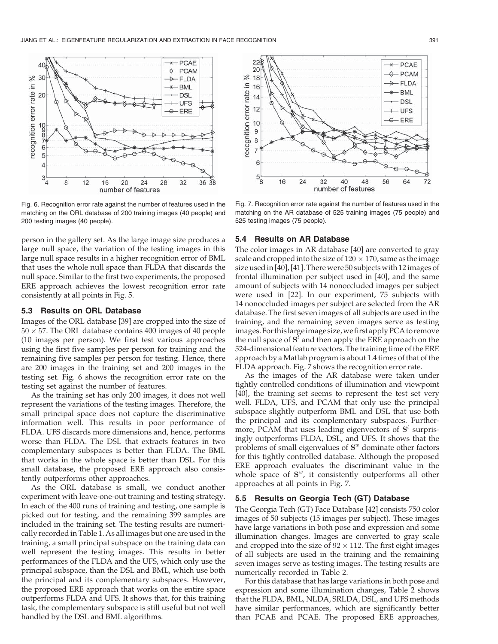

Fig. 6. Recognition error rate against the number of features used in the matching on the ORL database of 200 training images (40 people) and 200 testing images (40 people).

person in the gallery set. As the large image size produces a large null space, the variation of the testing images in this large null space results in a higher recognition error of BML that uses the whole null space than FLDA that discards the null space. Similar to the first two experiments, the proposed ERE approach achieves the lowest recognition error rate consistently at all points in Fig. 5.

#### 5.3 Results on ORL Database

Images of the ORL database [39] are cropped into the size of  $50 \times 57$ . The ORL database contains 400 images of 40 people (10 images per person). We first test various approaches using the first five samples per person for training and the remaining five samples per person for testing. Hence, there are 200 images in the training set and 200 images in the testing set. Fig. 6 shows the recognition error rate on the testing set against the number of features.

As the training set has only 200 images, it does not well represent the variations of the testing images. Therefore, the small principal space does not capture the discriminative information well. This results in poor performance of FLDA. UFS discards more dimensions and, hence, performs worse than FLDA. The DSL that extracts features in two complementary subspaces is better than FLDA. The BML that works in the whole space is better than DSL. For this small database, the proposed ERE approach also consistently outperforms other approaches.

As the ORL database is small, we conduct another experiment with leave-one-out training and testing strategy. In each of the 400 runs of training and testing, one sample is picked out for testing, and the remaining 399 samples are included in the training set. The testing results are numerically recorded in Table 1. As all images but one are used in the training, a small principal subspace on the training data can well represent the testing images. This results in better performances of the FLDA and the UFS, which only use the principal subspace, than the DSL and BML, which use both the principal and its complementary subspaces. However, the proposed ERE approach that works on the entire space outperforms FLDA and UFS. It shows that, for this training task, the complementary subspace is still useful but not well handled by the DSL and BML algorithms.



Fig. 7. Recognition error rate against the number of features used in the matching on the AR database of 525 training images (75 people) and 525 testing images (75 people).

#### 5.4 Results on AR Database

The color images in AR database [40] are converted to gray scale and cropped into the size of  $120 \times 170$ , same as the image size used in [40], [41]. There were 50 subjects with 12images of frontal illumination per subject used in [40], and the same amount of subjects with 14 nonoccluded images per subject were used in [22]. In our experiment, 75 subjects with 14 nonoccluded images per subject are selected from the AR database. The first seven images of all subjects are used in the training, and the remaining seven images serve as testing images.For thislargeimage size,we first applyPCA to remove the null space of  $S<sup>t</sup>$  and then apply the ERE approach on the 524-dimensional feature vectors. The training time of the ERE approach by a Matlab program is about 1.4 times of that of the FLDA approach. Fig. 7 shows the recognition error rate.

As the images of the AR database were taken under tightly controlled conditions of illumination and viewpoint [40], the training set seems to represent the test set very well. FLDA, UFS, and PCAM that only use the principal subspace slightly outperform BML and DSL that use both the principal and its complementary subspaces. Furthermore, PCAM that uses leading eigenvectors of  $S<sup>t</sup>$  surprisingly outperforms FLDA, DSL, and UFS. It shows that the problems of small eigenvalues of  $S^w$  dominate other factors for this tightly controlled database. Although the proposed ERE approach evaluates the discriminant value in the whole space of  $S^w$ , it consistently outperforms all other approaches at all points in Fig. 7.

## 5.5 Results on Georgia Tech (GT) Database

The Georgia Tech (GT) Face Database [42] consists 750 color images of 50 subjects (15 images per subject). These images have large variations in both pose and expression and some illumination changes. Images are converted to gray scale and cropped into the size of  $92 \times 112$ . The first eight images of all subjects are used in the training and the remaining seven images serve as testing images. The testing results are numerically recorded in Table 2.

For this database that has large variations in both pose and expression and some illumination changes, Table 2 shows that the FLDA, BML, NLDA, SRLDA, DSL, and UFS methods have similar performances, which are significantly better than PCAE and PCAE. The proposed ERE approaches,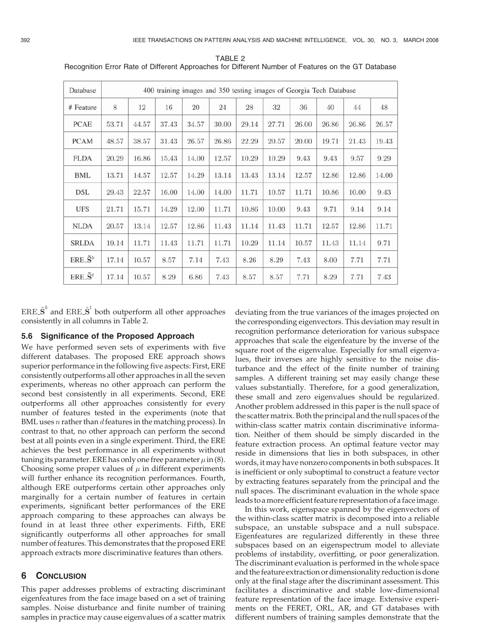| Database                | 400 training images and 350 testing images of Georgia Tech Database |       |       |       |       |       |       |       |       |       |       |  |
|-------------------------|---------------------------------------------------------------------|-------|-------|-------|-------|-------|-------|-------|-------|-------|-------|--|
| # Feature               | 8                                                                   | 12    | 16    | 20    | 24    | 28    | 32    | 36    | 40    | 44    | 48    |  |
| <b>PCAE</b>             | 53.71                                                               | 44.57 | 37.43 | 34.57 | 30.00 | 29.14 | 27.71 | 26.00 | 26.86 | 26.86 | 26.57 |  |
| <b>PCAM</b>             | 48.57                                                               | 38.57 | 31.43 | 26.57 | 26.86 | 22.29 | 20.57 | 20.00 | 19.71 | 21.43 | 19.43 |  |
| <b>FLDA</b>             | 20.29                                                               | 16.86 | 15.43 | 14.00 | 12.57 | 10.29 | 10.29 | 9.43  | 9.43  | 9.57  | 9.29  |  |
| <b>BML</b>              | 13.71                                                               | 14.57 | 12.57 | 14.29 | 13.14 | 13.43 | 13.14 | 12.57 | 12.86 | 12.86 | 14.00 |  |
| DSL                     | 29.43                                                               | 22.57 | 16.00 | 14.00 | 14.00 | 11.71 | 10.57 | 11.71 | 10.86 | 10.00 | 9.43  |  |
| <b>UFS</b>              | 21.71                                                               | 15.71 | 14.29 | 12.00 | 11.71 | 10.86 | 10.00 | 9.43  | 9.71  | 9.14  | 9.14  |  |
| <b>NLDA</b>             | 20.57                                                               | 13.14 | 12.57 | 12.86 | 11.43 | 11.14 | 11.43 | 11.71 | 12.57 | 12.86 | 11.71 |  |
| <b>SRLDA</b>            | 19.14                                                               | 11.71 | 11.43 | 11.71 | 11.71 | 10.29 | 11.14 | 10.57 | 11.43 | 11.14 | 9.71  |  |
| $ERE \cdot \tilde{S}^b$ | 17.14                                                               | 10.57 | 8.57  | 7.14  | 7.43  | 8.26  | 8.29  | 7.43  | 8.00  | 7.71  | 7.71  |  |
| $ERE \cdot \tilde{S}^t$ | 17.14                                                               | 10.57 | 8.29  | 6.86  | 7.43  | 8.57  | 8.57  | 7.71  | 8.29  | 7.71  | 7.43  |  |

TABLE 2 Recognition Error Rate of Different Approaches for Different Number of Features on the GT Database

 $\text{ERE.} \tilde{\textbf{S}}^{b}$  and  $\text{ERE.} \tilde{\textbf{S}}^{t}$  both outperform all other approaches consistently in all columns in Table 2.

# 5.6 Significance of the Proposed Approach

We have performed seven sets of experiments with five different databases. The proposed ERE approach shows superior performance in the following five aspects: First, ERE consistently outperforms all other approaches in all the seven experiments, whereas no other approach can perform the second best consistently in all experiments. Second, ERE outperforms all other approaches consistently for every number of features tested in the experiments (note that BML uses  $n$  rather than  $d$  features in the matching process). In contrast to that, no other approach can perform the second best at all points even in a single experiment. Third, the ERE achieves the best performance in all experiments without tuning its parameter. ERE has only one free parameter  $\mu$  in (8). Choosing some proper values of  $\mu$  in different experiments will further enhance its recognition performances. Fourth, although ERE outperforms certain other approaches only marginally for a certain number of features in certain experiments, significant better performances of the ERE approach comparing to these approaches can always be found in at least three other experiments. Fifth, ERE significantly outperforms all other approaches for small number of features. This demonstrates that the proposed ERE approach extracts more discriminative features than others.

## 6 CONCLUSION

This paper addresses problems of extracting discriminant eigenfeatures from the face image based on a set of training samples. Noise disturbance and finite number of training samples in practice may cause eigenvalues of a scatter matrix

deviating from the true variances of the images projected on the corresponding eigenvectors. This deviation may result in recognition performance deterioration for various subspace approaches that scale the eigenfeature by the inverse of the square root of the eigenvalue. Especially for small eigenvalues, their inverses are highly sensitive to the noise disturbance and the effect of the finite number of training samples. A different training set may easily change these values substantially. Therefore, for a good generalization, these small and zero eigenvalues should be regularized. Another problem addressed in this paper is the null space of the scatter matrix. Both the principal and the null spaces of the within-class scatter matrix contain discriminative information. Neither of them should be simply discarded in the feature extraction process. An optimal feature vector may reside in dimensions that lies in both subspaces, in other words, it may have nonzero components in both subspaces. It is inefficient or only suboptimal to construct a feature vector by extracting features separately from the principal and the null spaces. The discriminant evaluation in the whole space leads to a more efficient feature representation of a face image.

In this work, eigenspace spanned by the eigenvectors of the within-class scatter matrix is decomposed into a reliable subspace, an unstable subspace and a null subspace. Eigenfeatures are regularized differently in these three subspaces based on an eigenspectrum model to alleviate problems of instability, overfitting, or poor generalization. The discriminant evaluation is performed in the whole space and the feature extraction or dimensionality reduction is done only at the final stage after the discriminant assessment. This facilitates a discriminative and stable low-dimensional feature representation of the face image. Extensive experiments on the FERET, ORL, AR, and GT databases with different numbers of training samples demonstrate that the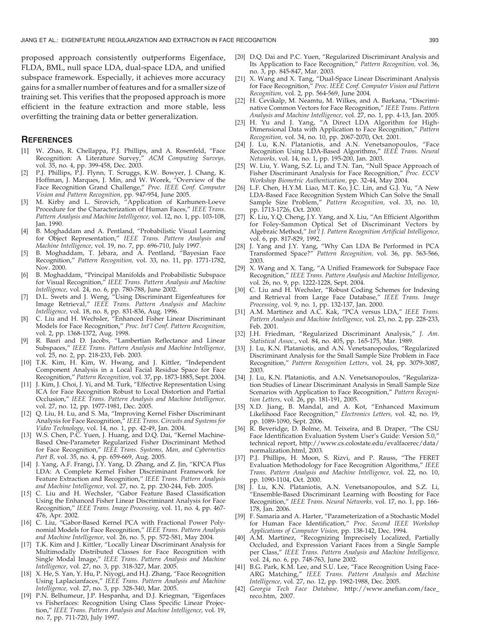proposed approach consistently outperforms Eigenface, FLDA, BML, null space LDA, dual-space LDA, and unified subspace framework. Especially, it achieves more accuracy gains for a smaller number of features and for a smaller size of training set. This verifies that the proposed approach is more efficient in the feature extraction and more stable, less overfitting the training data or better generalization.

#### **REFERENCES**

- [1] W. Zhao, R. Chellappa, P.J. Phillips, and A. Rosenfeld, "Face Recognition: A Literature Survey," ACM Computing Surveys, vol. 35, no. 4, pp. 399-458, Dec. 2003.
- [2] P.J. Phillips, P.J. Flynn, T. Scruggs, K.W. Bowyer, J. Chang, K. Hoffman, J. Marques, J. Min, and W. Worek, "Overview of the Face Recognition Grand Challenge," Proc. IEEE Conf. Computer Vision and Pattern Recognition, pp. 947-954, June 2005.
- [3] M. Kirby and L. Sirovich, "Application of Karhunen-Loeve Procedure for the Characterization of Human Faces," IEEE Trans. Pattern Analysis and Machine Intelligence, vol. 12, no. 1, pp. 103-108, Jan. 1990.
- [4] B. Moghaddam and A. Pentland, "Probabilistic Visual Learning for Object Representation," IEEE Trans. Pattern Analysis and Machine Intelligence, vol. 19, no. 7, pp. 696-710, July 1997.
- [5] B. Moghaddam, T. Jebara, and A. Pentland, "Bayesian Face Recognition," Pattern Recognition, vol. 33, no. 11, pp. 1771-1782, Nov. 2000.
- [6] B. Moghaddam, "Principal Manifolds and Probabilistic Subspace for Visual Recognition," IEEE Trans. Pattern Analysis and Machine Intelligence, vol. 24, no. 6, pp. 780-788, June 2002.
- [7] D.L. Swets and J. Weng, "Using Discriminant Eigenfeatures for Image Retrieval," IEEE Trans. Pattern Analysis and Machine Intelligence, vol. 18, no. 8, pp. 831-836, Aug. 1996.
- [8] C. Liu and H. Wechsler, "Enhanced Fisher Linear Discriminant Models for Face Recognition," Proc. Int'l Conf. Pattern Recognition, vol. 2, pp. 1368-1372, Aug. 1998.
- R. Basri and D. Jacobs, "Lambertian Reflectance and Linear Subspaces," IEEE Trans. Pattern Analysis and Machine Intelligence, vol. 25, no. 2, pp. 218-233, Feb. 2003.
- [10] T.K. Kim, H. Kim, W. Hwang, and J. Kittler, "Independent Component Analysis in a Local Facial Residue Space for Face Recognition," Pattern Recognition, vol. 37, pp. 1873-1885, Sept. 2004.
- [11] J. Kim, J. Choi, J. Yi, and M. Turk, "Effective Representation Using ICA for Face Recognition Robust to Local Distortion and Partial Occlusion," IEEE Trans. Pattern Analysis and Machine Intelligence, vol. 27, no. 12, pp. 1977-1981, Dec. 2005.
- [12] Q. Liu, H. Lu, and S. Ma, "Improving Kernel Fisher Discriminant Analysis for Face Recognition," IEEE Trans. Circuits and Systems for Video Technology, vol. 14, no. 1, pp. 42-49, Jan. 2004.
- [13] W.S. Chen, P.C. Yuen, J. Huang, and D.Q. Dai, "Kernel Machine-Based One-Parameter Regularized Fisher Discriminant Method for Face Recognition," IEEE Trans. Systems, Man, and Cybernetics Part B, vol. 35, no. 4, pp. 659-669, Aug. 2005.
- [14] J. Yang, A.F. Frangi, J.Y. Yang, D. Zhang, and Z. Jin, "KPCA Plus LDA: A Complete Kernel Fisher Discriminant Framework for Feature Extraction and Recognition," IEEE Trans. Pattern Analysis and Machine Intelligence, vol. 27, no. 2, pp. 230-244, Feb. 2005.
- [15] C. Liu and H. Wechsler, "Gabor Feature Based Classification Using the Enhanced Fisher Linear Discriminant Analysis for Face Recognition," IEEE Trans. Image Processing, vol. 11, no. 4, pp. 467- 476, Apr. 2002.
- [16] C. Liu, "Gabor-Based Kernel PCA with Fractional Power Polynomial Models for Face Recognition," IEEE Trans. Pattern Analysis and Machine Intelligence, vol. 26, no. 5, pp. 572-581, May 2004.
- [17] T.K. Kim and J. Kittler, "Locally Linear Discriminant Analysis for Multimodally Distributed Classes for Face Recognition with Single Modal Image," IEEE Trans. Pattern Analysis and Machine Intelligence, vol. 27, no. 3, pp. 318-327, Mar. 2005.
- [18] X. He, S. Yan, Y. Hu, P. Niyogi, and H.J. Zhang, "Face Recognition Using Laplacianfaces," IEEE Trans. Pattern Analysis and Machine Intelligence, vol. 27, no. 3, pp. 328-340, Mar. 2005.
- [19] P.N. Belhumeur, J.P. Hespanha, and D.J. Kriegman, "Eigenfaces vs Fisherfaces: Recognition Using Class Specific Linear Projection," IEEE Trans. Pattern Analysis and Machine Intelligence, vol. 19, no. 7, pp. 711-720, July 1997.
- [20] D.Q. Dai and P.C. Yuen, "Regularized Discriminant Analysis and Its Application to Face Recognition," Pattern Recognition, vol. 36, no. 3, pp. 845-847, Mar. 2003.
- [21] X. Wang and X. Tang, "Dual-Space Linear Discriminant Analysis for Face Recognition," Proc. IEEE Conf. Computer Vision and Pattern Recognition, vol. 2, pp. 564-569, June 2004.
- [22] H. Cevikalp, M. Neamtu, M. Wilkes, and A. Barkana, "Discriminative Common Vectors for Face Recognition," IEEE Trans. Pattern Analysis and Machine Intelligence, vol. 27, no. 1, pp. 4-13, Jan. 2005.
- [23] H. Yu and J. Yang, "A Direct LDA Algorithm for High-Dimensional Data with Application to Face Recognition," Pattern Recognition, vol. 34, no. 10, pp. 2067-2070, Oct. 2001.
- J. Lu, K.N. Plataniotis, and A.N. Venetsanopoulos, "Face Recognition Using LDA-Based Algorithms," IEEE Trans. Neural Networks, vol. 14, no. 1, pp. 195-200, Jan. 2003.
- [25] W. Liu, Y. Wang, S.Z. Li, and T.N. Tan, "Null Space Approach of Fisher Discriminant Analysis for Face Recognition," Proc. ECCV Workshop Biometric Authentication, pp. 32-44, May 2004.
- [26] L.F. Chen, H.Y.M. Liao, M.T. Ko, J.C. Lin, and G.J. Yu, "A New LDA-Based Face Recognition System Which Can Solve the Small Sample Size Problem," Pattern Recognition, vol. 33, no. 10, pp. 1713-1726, Oct. 2000.
- [27] K. Liu, Y.Q. Cheng, J.Y. Yang, and X. Liu, "An Efficient Algorithm for Foley-Sammon Optical Set of Discriminant Vectors by Algebraic Method," Int'l J. Pattern Recognition Artificial Intelligence, vol. 6, pp. 817-829, 1992.
- [28] J. Yang and J.Y. Yang, "Why Can LDA Be Performed in PCA Transformed Space?" Pattern Recognition, vol. 36, pp. 563-566, 2003.
- [29] X. Wang and X. Tang, "A Unified Framework for Subspace Face Recognition," IEEE Trans. Pattern Analysis and Machine Intelligence, vol. 26, no. 9, pp. 1222-1228, Sept. 2004.
- [30] C. Liu and H. Wechsler, "Robust Coding Schemes for Indexing and Retrieval from Large Face Database," IEEE Trans. Image Processing, vol. 9, no. 1, pp. 132-137, Jan. 2000.
- [31] A.M. Martinez and A.C. Kak, "PCA versus LDA," IEEE Trans. Pattern Analysis and Machine Intelligence, vol. 23, no. 2, pp. 228-233, Feb. 2001.
- [32] J.H. Friedman, "Regularized Discriminant Analysis," J. Am. Statistical Assoc., vol. 84, no. 405, pp. 165-175, Mar. 1989.
- [33] J. Lu, K.N. Plataniotis, and A.N. Venetsanopoulos, "Regularized Discriminant Analysis for the Small Sample Size Problem in Face Recognition," Pattern Recognition Letters, vol. 24, pp. 3079-3087, 2003.
- [34] J. Lu, K.N. Plataniotis, and A.N. Venetsanopoulos, "Regularization Studies of Linear Discriminant Analysis in Small Sample Size Scenarios with Application to Face Recognition," Pattern Recognition Letters, vol. 26, pp. 181-191, 2005.
- [35] X.D. Jiang, B. Mandal, and A. Kot, "Enhanced Maximum Likelihood Face Recognition," Electronics Letters, vol. 42, no. 19, pp. 1089-1090, Sept. 2006.
- [36] R. Beveridge, D. Bolme, M. Teixeira, and B. Draper, "The CSU Face Identification Evaluation System User's Guide: Version 5.0," technical report, http://www.cs.colostate.edu/evalfacerec/data/ normalization.html, 2003.
- [37] P.J. Phillips, H. Moon, S. Rizvi, and P. Rauss, "The FERET Evaluation Methodology for Face Recognition Algorithms," IEEE Trans. Pattern Analysis and Machine Intelligence, vol. 22, no. 10, pp. 1090-1104, Oct. 2000.
- $\overline{J}$ . Lu, K.N. Plataniotis, A.N. Venetsanopoulos, and S.Z. Li, "Ensemble-Based Discriminant Learning with Boosting for Face Recognition," IEEE Trans. Neural Networks, vol. 17, no. 1, pp. 166- 178, Jan. 2006.
- [39] F. Samaria and A. Harter, "Parameterization of a Stochastic Model for Human Face Identification," Proc. Second IEEE Workshop Applications of Computer Vision, pp. 138-142, Dec. 1994.
- [40] A.M. Martinez, "Recognizing Imprecisely Localized, Partially Occluded, and Expression Variant Faces from a Single Sample per Class," IEEE Trans. Pattern Analysis and Machine Intelligence, vol. 24, no. 6, pp. 748-763, June 2002.
- [41] B.G. Park, K.M. Lee, and S.U. Lee, "Face Recognition Using Face-ARG Matching," IEEE Trans. Pattern Analysis and Machine Intelligence, vol. 27, no. 12, pp. 1982-1988, Dec. 2005.
- [42] Georgia Tech Face Database, http://www.anefian.com/face\_ reco.htm, 2007.